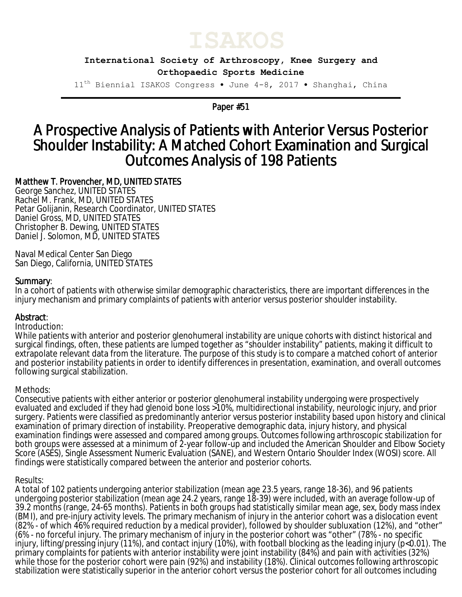

**International Society of Arthroscopy, Knee Surgery and Orthopaedic Sports Medicine**

11th Biennial ISAKOS Congress • June 4-8, 2017 • Shanghai, China

Paper #51

# A Prospective Analysis of Patients with Anterior Versus Posterior Shoulder Instability: A Matched Cohort Examination and Surgical Outcomes Analysis of 198 Patients

# Matthew T. Provencher, MD, UNITED STATES

George Sanchez, UNITED STATES Rachel M. Frank, MD, UNITED STATES Petar Golijanin, Research Coordinator, UNITED STATES Daniel Gross, MD, UNITED STATES Christopher B. Dewing, UNITED STATES Daniel J. Solomon, MD, UNITED STATES

Naval Medical Center San Diego San Diego, California, UNITED STATES

## Summary:

In a cohort of patients with otherwise similar demographic characteristics, there are important differences in the injury mechanism and primary complaints of patients with anterior versus posterior shoulder instability.

## Abstract:

#### Introduction:

While patients with anterior and posterior glenohumeral instability are unique cohorts with distinct historical and surgical findings, often, these patients are lumped together as "shoulder instability" patients, making it difficult to extrapolate relevant data from the literature. The purpose of this study is to compare a matched cohort of anterior and posterior instability patients in order to identify differences in presentation, examination, and overall outcomes following surgical stabilization.

## Methods:

Consecutive patients with either anterior or posterior glenohumeral instability undergoing were prospectively evaluated and excluded if they had glenoid bone loss >10%, multidirectional instability, neurologic injury, and prior surgery. Patients were classified as predominantly anterior versus posterior instability based upon history and clinical examination of primary direction of instability. Preoperative demographic data, injury history, and physical examination findings were assessed and compared among groups. Outcomes following arthroscopic stabilization for both groups were assessed at a minimum of 2-year follow-up and included the American Shoulder and Elbow Society Score (ASES), Single Assessment Numeric Evaluation (SANE), and Western Ontario Shoulder Index (WOSI) score. All findings were statistically compared between the anterior and posterior cohorts.

## Results:

A total of 102 patients undergoing anterior stabilization (mean age 23.5 years, range 18-36), and 96 patients undergoing posterior stabilization (mean age 24.2 years, range 18-39) were included, with an average follow-up of 39.2 months (range, 24-65 months). Patients in both groups had statistically similar mean age, sex, body mass index (BMI), and pre-injury activity levels. The primary mechanism of injury in the anterior cohort was a dislocation event (82% - of which 46% required reduction by a medical provider), followed by shoulder subluxation (12%), and "other" (6% - no forceful injury. The primary mechanism of injury in the posterior cohort was "other" (78% - no specific injury, lifting/pressing injury (11%), and contact injury (10%), with football blocking as the leading injury (p<0.01). The primary complaints for patients with anterior instability were joint instability (84%) and pain with activities (32%) while those for the posterior cohort were pain (92%) and instability (18%). Clinical outcomes following arthroscopic stabilization were statistically superior in the anterior cohort versus the posterior cohort for all outcomes including